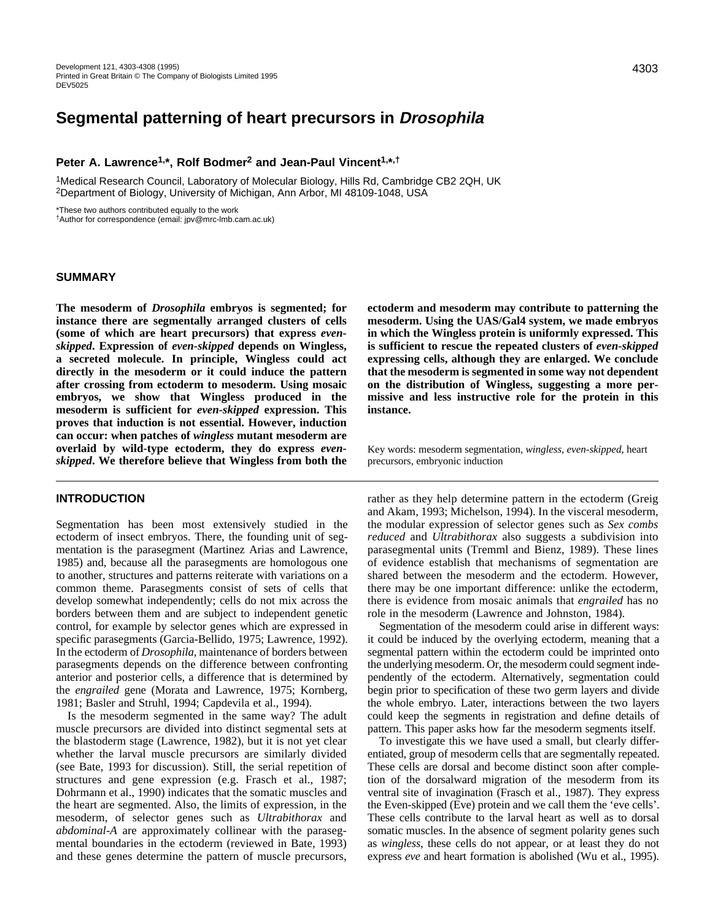# **Segmental patterning of heart precursors in Drosophila**

## **Peter A. Lawrence1,\*, Rolf Bodmer2 and Jean-Paul Vincent1,\*,†**

1Medical Research Council, Laboratory of Molecular Biology, Hills Rd, Cambridge CB2 2QH, UK 2Department of Biology, University of Michigan, Ann Arbor, MI 48109-1048, USA

\*These two authors contributed equally to the work

†Author for correspondence (email: jpv@mrc-lmb.cam.ac.uk)

## **SUMMARY**

**The mesoderm of** *Drosophila* **embryos is segmented; for instance there are segmentally arranged clusters of cells (some of which are heart precursors) that express** *evenskipped***. Expression of** *even-skipped* **depends on Wingless, a secreted molecule. In principle, Wingless could act directly in the mesoderm or it could induce the pattern after crossing from ectoderm to mesoderm. Using mosaic embryos, we show that Wingless produced in the mesoderm is sufficient for** *even-skipped* **expression. This proves that induction is not essential. However, induction can occur: when patches of** *wingless* **mutant mesoderm are overlaid by wild-type ectoderm, they do express** *evenskipped***. We therefore believe that Wingless from both the**

## **INTRODUCTION**

Segmentation has been most extensively studied in the ectoderm of insect embryos. There, the founding unit of segmentation is the parasegment (Martinez Arias and Lawrence, 1985) and, because all the parasegments are homologous one to another, structures and patterns reiterate with variations on a common theme. Parasegments consist of sets of cells that develop somewhat independently; cells do not mix across the borders between them and are subject to independent genetic control, for example by selector genes which are expressed in specific parasegments (Garcia-Bellido, 1975; Lawrence, 1992). In the ectoderm of *Drosophila*, maintenance of borders between parasegments depends on the difference between confronting anterior and posterior cells, a difference that is determined by the *engrailed* gene (Morata and Lawrence, 1975; Kornberg, 1981; Basler and Struhl, 1994; Capdevila et al., 1994).

Is the mesoderm segmented in the same way? The adult muscle precursors are divided into distinct segmental sets at the blastoderm stage (Lawrence, 1982), but it is not yet clear whether the larval muscle precursors are similarly divided (see Bate, 1993 for discussion). Still, the serial repetition of structures and gene expression (e.g. Frasch et al., 1987; Dohrmann et al., 1990) indicates that the somatic muscles and the heart are segmented. Also, the limits of expression, in the mesoderm, of selector genes such as *Ultrabithorax* and *abdominal-A* are approximately collinear with the parasegmental boundaries in the ectoderm (reviewed in Bate, 1993) and these genes determine the pattern of muscle precursors,

**ectoderm and mesoderm may contribute to patterning the mesoderm. Using the UAS/Gal4 system, we made embryos in which the Wingless protein is uniformly expressed. This is sufficient to rescue the repeated clusters of** *even-skipped* **expressing cells, although they are enlarged. We conclude that the mesoderm is segmented in some way not dependent on the distribution of Wingless, suggesting a more permissive and less instructive role for the protein in this instance.**

Key words: mesoderm segmentation, *wingless*, *even-skipped*, heart precursors, embryonic induction

rather as they help determine pattern in the ectoderm (Greig and Akam, 1993; Michelson, 1994). In the visceral mesoderm, the modular expression of selector genes such as *Sex combs reduced* and *Ultrabithorax* also suggests a subdivision into parasegmental units (Tremml and Bienz, 1989). These lines of evidence establish that mechanisms of segmentation are shared between the mesoderm and the ectoderm. However, there may be one important difference: unlike the ectoderm, there is evidence from mosaic animals that *engrailed* has no role in the mesoderm (Lawrence and Johnston, 1984).

Segmentation of the mesoderm could arise in different ways: it could be induced by the overlying ectoderm, meaning that a segmental pattern within the ectoderm could be imprinted onto the underlying mesoderm. Or, the mesoderm could segment independently of the ectoderm. Alternatively, segmentation could begin prior to specification of these two germ layers and divide the whole embryo. Later, interactions between the two layers could keep the segments in registration and define details of pattern. This paper asks how far the mesoderm segments itself.

To investigate this we have used a small, but clearly differentiated, group of mesoderm cells that are segmentally repeated. These cells are dorsal and become distinct soon after completion of the dorsalward migration of the mesoderm from its ventral site of invagination (Frasch et al., 1987). They express the Even-skipped (Eve) protein and we call them the 'eve cells'. These cells contribute to the larval heart as well as to dorsal somatic muscles. In the absence of segment polarity genes such as *wingless*, these cells do not appear, or at least they do not express *eve* and heart formation is abolished (Wu et al., 1995).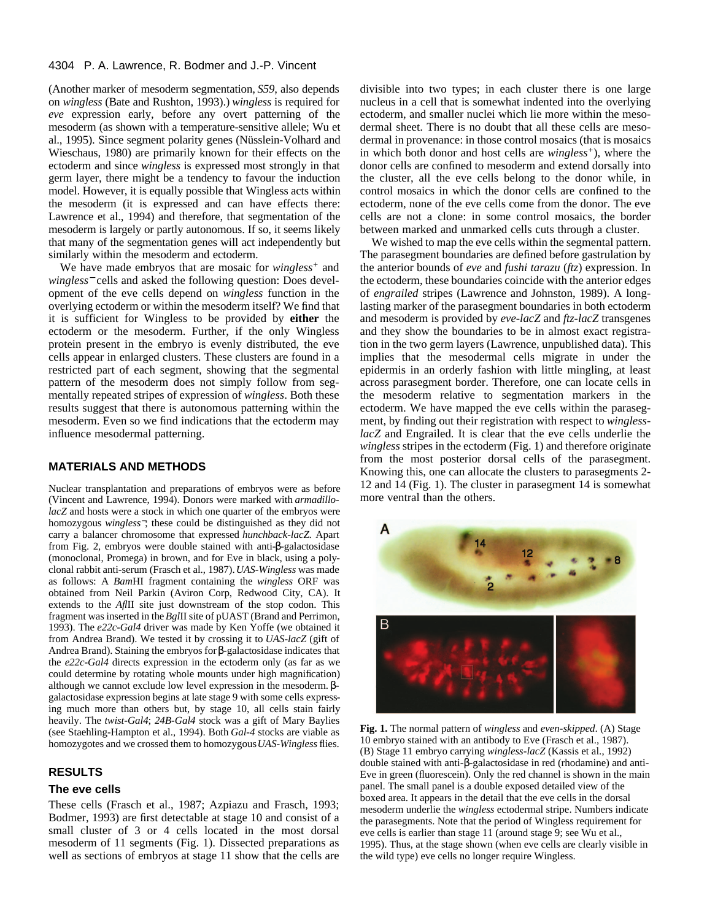#### 4304 P. A. Lawrence, R. Bodmer and J.-P. Vincent

(Another marker of mesoderm segmentation, *S59*, also depends on *wingless* (Bate and Rushton, 1993).) *wingless* is required for *eve* expression early, before any overt patterning of the mesoderm (as shown with a temperature-sensitive allele; Wu et al., 1995). Since segment polarity genes (Nüsslein-Volhard and Wieschaus, 1980) are primarily known for their effects on the ectoderm and since *wingless* is expressed most strongly in that germ layer, there might be a tendency to favour the induction model. However, it is equally possible that Wingless acts within the mesoderm (it is expressed and can have effects there: Lawrence et al., 1994) and therefore, that segmentation of the mesoderm is largely or partly autonomous. If so, it seems likely that many of the segmentation genes will act independently but similarly within the mesoderm and ectoderm.

We have made embryos that are mosaic for *wingless+* and *wingless*<sup>−</sup> cells and asked the following question: Does development of the eve cells depend on *wingless* function in the overlying ectoderm or within the mesoderm itself? We find that it is sufficient for Wingless to be provided by **either** the ectoderm or the mesoderm. Further, if the only Wingless protein present in the embryo is evenly distributed, the eve cells appear in enlarged clusters. These clusters are found in a restricted part of each segment, showing that the segmental pattern of the mesoderm does not simply follow from segmentally repeated stripes of expression of *wingless*. Both these results suggest that there is autonomous patterning within the mesoderm. Even so we find indications that the ectoderm may influence mesodermal patterning.

# **MATERIALS AND METHODS**

Nuclear transplantation and preparations of embryos were as before (Vincent and Lawrence, 1994). Donors were marked with *armadillolacZ* and hosts were a stock in which one quarter of the embryos were homozygous *wingless*−; these could be distinguished as they did not carry a balancer chromosome that expressed *hunchback-lacZ*. Apart from Fig. 2, embryos were double stained with anti-β-galactosidase (monoclonal, Promega) in brown, and for Eve in black, using a polyclonal rabbit anti-serum (Frasch et al., 1987). *UAS-Wingless* was made as follows: A *Bam*HI fragment containing the *wingless* ORF was obtained from Neil Parkin (Aviron Corp, Redwood City, CA). It extends to the *Afl*II site just downstream of the stop codon. This fragment was inserted in the *Bgl*II site of pUAST (Brand and Perrimon, 1993). The *e22c-Gal4* driver was made by Ken Yoffe (we obtained it from Andrea Brand). We tested it by crossing it to *UAS-lacZ* (gift of Andrea Brand). Staining the embryos for β-galactosidase indicates that the *e22c-Gal4* directs expression in the ectoderm only (as far as we could determine by rotating whole mounts under high magnification) although we cannot exclude low level expression in the mesoderm. βgalactosidase expression begins at late stage 9 with some cells expressing much more than others but, by stage 10, all cells stain fairly heavily. The *twist-Gal4*; *24B-Gal4* stock was a gift of Mary Baylies (see Staehling-Hampton et al., 1994). Both *Gal-4* stocks are viable as homozygotes and we crossed them to homozygous *UAS-Wingless* flies.

## **RESULTS**

# **The eve cells**

These cells (Frasch et al., 1987; Azpiazu and Frasch, 1993; Bodmer, 1993) are first detectable at stage 10 and consist of a small cluster of 3 or 4 cells located in the most dorsal mesoderm of 11 segments (Fig. 1). Dissected preparations as well as sections of embryos at stage 11 show that the cells are divisible into two types; in each cluster there is one large nucleus in a cell that is somewhat indented into the overlying ectoderm, and smaller nuclei which lie more within the mesodermal sheet. There is no doubt that all these cells are mesodermal in provenance: in those control mosaics (that is mosaics in which both donor and host cells are *wingless+*), where the donor cells are confined to mesoderm and extend dorsally into the cluster, all the eve cells belong to the donor while, in control mosaics in which the donor cells are confined to the ectoderm, none of the eve cells come from the donor. The eve cells are not a clone: in some control mosaics, the border between marked and unmarked cells cuts through a cluster.

We wished to map the eve cells within the segmental pattern. The parasegment boundaries are defined before gastrulation by the anterior bounds of *eve* and *fushi tarazu* (*ftz*) expression. In the ectoderm, these boundaries coincide with the anterior edges of *engrailed* stripes (Lawrence and Johnston, 1989). A longlasting marker of the parasegment boundaries in both ectoderm and mesoderm is provided by *eve-lacZ* and *ftz-lacZ* transgenes and they show the boundaries to be in almost exact registration in the two germ layers (Lawrence, unpublished data). This implies that the mesodermal cells migrate in under the epidermis in an orderly fashion with little mingling, at least across parasegment border. Therefore, one can locate cells in the mesoderm relative to segmentation markers in the ectoderm. We have mapped the eve cells within the parasegment, by finding out their registration with respect to *winglesslacZ* and Engrailed. It is clear that the eve cells underlie the *wingless* stripes in the ectoderm (Fig. 1) and therefore originate from the most posterior dorsal cells of the parasegment. Knowing this, one can allocate the clusters to parasegments 2- 12 and 14 (Fig. 1). The cluster in parasegment 14 is somewhat more ventral than the others.



**Fig. 1.** The normal pattern of *wingless* and *even-skipped*. (A) Stage 10 embryo stained with an antibody to Eve (Frasch et al., 1987). (B) Stage 11 embryo carrying *wingless-lacZ* (Kassis et al., 1992) double stained with anti-β-galactosidase in red (rhodamine) and anti-Eve in green (fluorescein). Only the red channel is shown in the main panel. The small panel is a double exposed detailed view of the boxed area. It appears in the detail that the eve cells in the dorsal mesoderm underlie the *wingless* ectodermal stripe. Numbers indicate the parasegments. Note that the period of Wingless requirement for eve cells is earlier than stage 11 (around stage 9; see Wu et al., 1995). Thus, at the stage shown (when eve cells are clearly visible in the wild type) eve cells no longer require Wingless.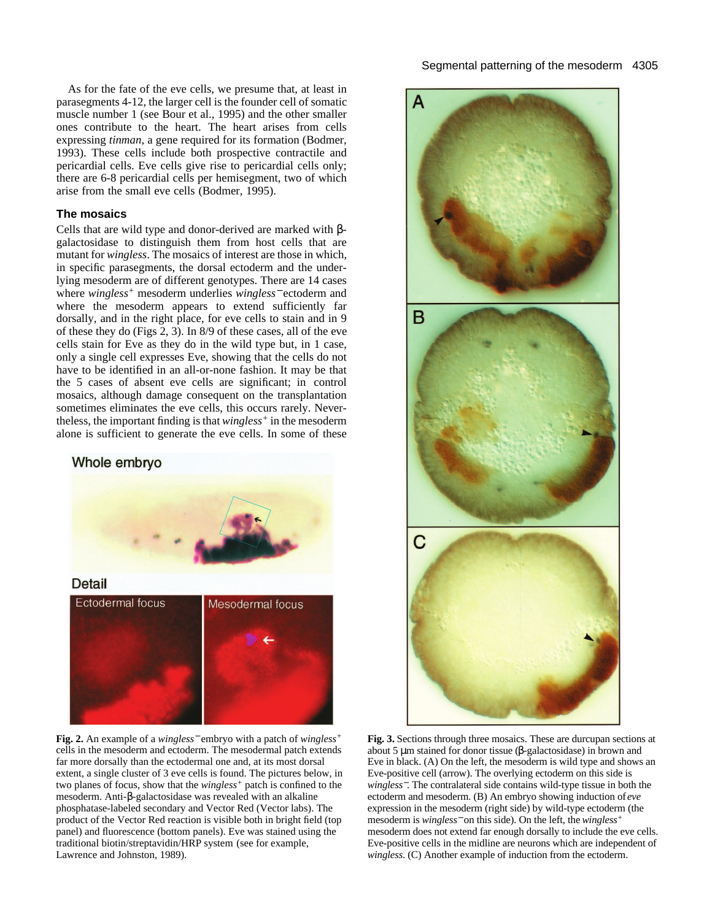As for the fate of the eve cells, we presume that, at least in parasegments 4-12, the larger cell is the founder cell of somatic muscle number 1 (see Bour et al., 1995) and the other smaller ones contribute to the heart. The heart arises from cells expressing *tinman*, a gene required for its formation (Bodmer, 1993). These cells include both prospective contractile and pericardial cells. Eve cells give rise to pericardial cells only; there are 6-8 pericardial cells per hemisegment, two of which arise from the small eve cells (Bodmer, 1995).

# **The mosaics**

Cells that are wild type and donor-derived are marked with βgalactosidase to distinguish them from host cells that are mutant for *wingless*. The mosaics of interest are those in which, in specific parasegments, the dorsal ectoderm and the underlying mesoderm are of different genotypes. There are 14 cases where *wingless+* mesoderm underlies *wingless*<sup>−</sup> ectoderm and where the mesoderm appears to extend sufficiently far dorsally, and in the right place, for eve cells to stain and in 9 of these they do (Figs 2, 3). In 8/9 of these cases, all of the eve cells stain for Eve as they do in the wild type but, in 1 case, only a single cell expresses Eve, showing that the cells do not have to be identified in an all-or-none fashion. It may be that the 5 cases of absent eve cells are significant; in control mosaics, although damage consequent on the transplantation sometimes eliminates the eve cells, this occurs rarely. Nevertheless, the important finding is that *wingless+* in the mesoderm alone is sufficient to generate the eve cells. In some of these



**Fig. 2.** An example of a *wingless*<sup>−</sup> embryo with a patch of *wingless+* cells in the mesoderm and ectoderm. The mesodermal patch extends far more dorsally than the ectodermal one and, at its most dorsal extent, a single cluster of 3 eve cells is found. The pictures below, in two planes of focus, show that the *wingless+* patch is confined to the mesoderm. Anti-β-galactosidase was revealed with an alkaline phosphatase-labeled secondary and Vector Red (Vector labs). The product of the Vector Red reaction is visible both in bright field (top panel) and fluorescence (bottom panels). Eve was stained using the traditional biotin/streptavidin/HRP system (see for example, Lawrence and Johnston, 1989).



**Fig. 3.** Sections through three mosaics. These are durcupan sections at about 5 µm stained for donor tissue (β-galactosidase) in brown and Eve in black. (A) On the left, the mesoderm is wild type and shows an Eve-positive cell (arrow). The overlying ectoderm on this side is *wingless*−. The contralateral side contains wild-type tissue in both the ectoderm and mesoderm. (B) An embryo showing induction of *eve* expression in the mesoderm (right side) by wild-type ectoderm (the mesoderm is *wingless*<sup>−</sup> on this side). On the left, the *wingless+* mesoderm does not extend far enough dorsally to include the eve cells. Eve-positive cells in the midline are neurons which are independent of *wingless*. (C) Another example of induction from the ectoderm.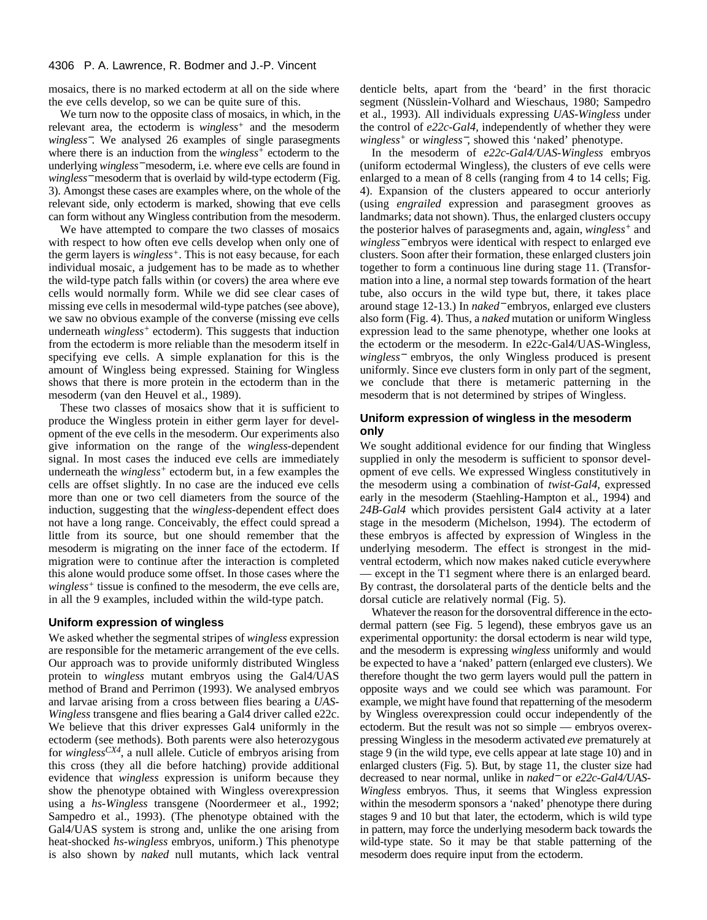#### 4306 P. A. Lawrence, R. Bodmer and J.-P. Vincent

mosaics, there is no marked ectoderm at all on the side where the eve cells develop, so we can be quite sure of this.

We turn now to the opposite class of mosaics, in which, in the relevant area, the ectoderm is *wingless+* and the mesoderm *wingless*−. We analysed 26 examples of single parasegments where there is an induction from the *wingless+* ectoderm to the underlying *wingless*<sup>−</sup> mesoderm, i.e. where eve cells are found in *wingless*<sup>−</sup> mesoderm that is overlaid by wild-type ectoderm (Fig. 3). Amongst these cases are examples where, on the whole of the relevant side, only ectoderm is marked, showing that eve cells can form without any Wingless contribution from the mesoderm.

We have attempted to compare the two classes of mosaics with respect to how often eve cells develop when only one of the germ layers is *wingless+*. This is not easy because, for each individual mosaic, a judgement has to be made as to whether the wild-type patch falls within (or covers) the area where eve cells would normally form. While we did see clear cases of missing eve cells in mesodermal wild-type patches (see above), we saw no obvious example of the converse (missing eve cells underneath *wingless+* ectoderm). This suggests that induction from the ectoderm is more reliable than the mesoderm itself in specifying eve cells. A simple explanation for this is the amount of Wingless being expressed. Staining for Wingless shows that there is more protein in the ectoderm than in the mesoderm (van den Heuvel et al., 1989).

These two classes of mosaics show that it is sufficient to produce the Wingless protein in either germ layer for development of the eve cells in the mesoderm. Our experiments also give information on the range of the *wingless*-dependent signal. In most cases the induced eve cells are immediately underneath the *wingless+* ectoderm but, in a few examples the cells are offset slightly. In no case are the induced eve cells more than one or two cell diameters from the source of the induction, suggesting that the *wingless*-dependent effect does not have a long range. Conceivably, the effect could spread a little from its source, but one should remember that the mesoderm is migrating on the inner face of the ectoderm. If migration were to continue after the interaction is completed this alone would produce some offset. In those cases where the *wingless+* tissue is confined to the mesoderm, the eve cells are, in all the 9 examples, included within the wild-type patch.

#### **Uniform expression of wingless**

We asked whether the segmental stripes of *wingless* expression are responsible for the metameric arrangement of the eve cells. Our approach was to provide uniformly distributed Wingless protein to *wingless* mutant embryos using the Gal4/UAS method of Brand and Perrimon (1993). We analysed embryos and larvae arising from a cross between flies bearing a *UAS-Wingless* transgene and flies bearing a Gal4 driver called e22c. We believe that this driver expresses Gal4 uniformly in the ectoderm (see methods). Both parents were also heterozygous for *winglessCX4*, a null allele. Cuticle of embryos arising from this cross (they all die before hatching) provide additional evidence that *wingless* expression is uniform because they show the phenotype obtained with Wingless overexpression using a *hs-Wingless* transgene (Noordermeer et al., 1992; Sampedro et al., 1993). (The phenotype obtained with the Gal4/UAS system is strong and, unlike the one arising from heat-shocked *hs-wingless* embryos, uniform.) This phenotype is also shown by *naked* null mutants, which lack ventral

denticle belts, apart from the 'beard' in the first thoracic segment (Nüsslein-Volhard and Wieschaus, 1980; Sampedro et al., 1993). All individuals expressing *UAS-Wingless* under the control of *e22c-Gal4*, independently of whether they were *wingless<sup>+</sup>* or *wingless*−, showed this 'naked' phenotype.

In the mesoderm of *e22c-Gal4/UAS-Wingless* embryos (uniform ectodermal Wingless), the clusters of eve cells were enlarged to a mean of 8 cells (ranging from 4 to 14 cells; Fig. 4). Expansion of the clusters appeared to occur anteriorly (using *engrailed* expression and parasegment grooves as landmarks; data not shown). Thus, the enlarged clusters occupy the posterior halves of parasegments and, again, *wingless+* and *wingless*<sup>−</sup> embryos were identical with respect to enlarged eve clusters. Soon after their formation, these enlarged clusters join together to form a continuous line during stage 11. (Transformation into a line, a normal step towards formation of the heart tube, also occurs in the wild type but, there, it takes place around stage 12-13.) In *naked*<sup>−</sup> embryos, enlarged eve clusters also form (Fig. 4). Thus, a *naked* mutation or uniform Wingless expression lead to the same phenotype, whether one looks at the ectoderm or the mesoderm. In e22c-Gal4/UAS-Wingless, *wingless*<sup>−</sup> embryos, the only Wingless produced is present uniformly. Since eve clusters form in only part of the segment, we conclude that there is metameric patterning in the mesoderm that is not determined by stripes of Wingless.

## **Uniform expression of wingless in the mesoderm only**

We sought additional evidence for our finding that Wingless supplied in only the mesoderm is sufficient to sponsor development of eve cells. We expressed Wingless constitutively in the mesoderm using a combination of *twist-Gal4*, expressed early in the mesoderm (Staehling-Hampton et al., 1994) and *24B-Gal4* which provides persistent Gal4 activity at a later stage in the mesoderm (Michelson, 1994). The ectoderm of these embryos is affected by expression of Wingless in the underlying mesoderm. The effect is strongest in the midventral ectoderm, which now makes naked cuticle everywhere — except in the T1 segment where there is an enlarged beard. By contrast, the dorsolateral parts of the denticle belts and the dorsal cuticle are relatively normal (Fig. 5).

Whatever the reason for the dorsoventral difference in the ectodermal pattern (see Fig. 5 legend), these embryos gave us an experimental opportunity: the dorsal ectoderm is near wild type, and the mesoderm is expressing *wingless* uniformly and would be expected to have a 'naked' pattern (enlarged eve clusters). We therefore thought the two germ layers would pull the pattern in opposite ways and we could see which was paramount. For example, we might have found that repatterning of the mesoderm by Wingless overexpression could occur independently of the ectoderm. But the result was not so simple — embryos overexpressing Wingless in the mesoderm activated *eve* prematurely at stage 9 (in the wild type, eve cells appear at late stage 10) and in enlarged clusters (Fig. 5). But, by stage 11, the cluster size had decreased to near normal, unlike in *naked*<sup>−</sup> or *e22c-Gal4/UAS-Wingless* embryos. Thus, it seems that Wingless expression within the mesoderm sponsors a 'naked' phenotype there during stages 9 and 10 but that later, the ectoderm, which is wild type in pattern, may force the underlying mesoderm back towards the wild-type state. So it may be that stable patterning of the mesoderm does require input from the ectoderm.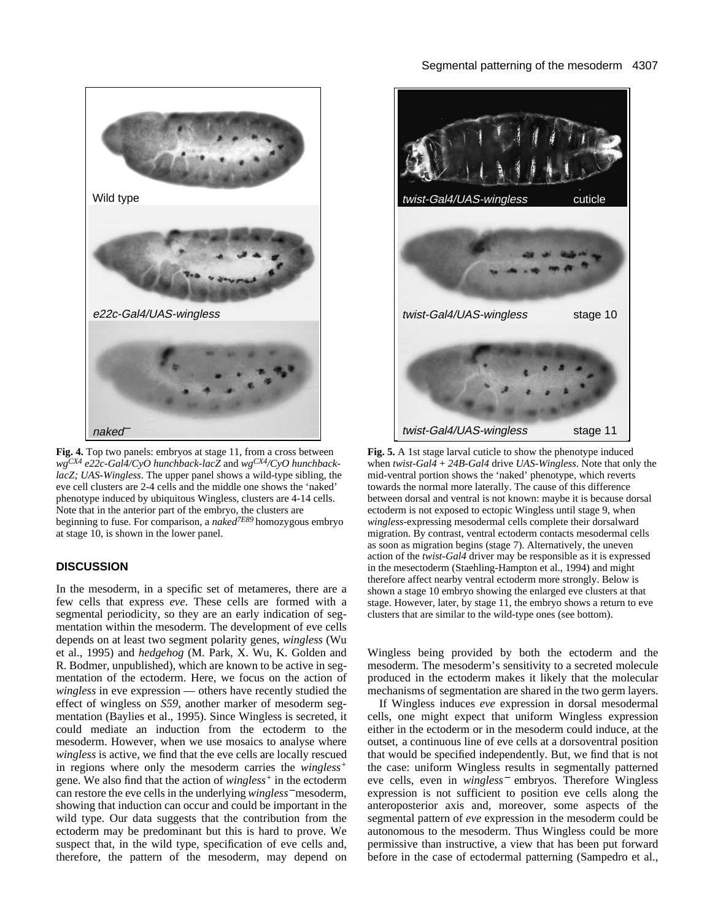## Segmental patterning of the mesoderm 4307



**Fig. 4.** Top two panels: embryos at stage 11, from a cross between *wgCX4 e22c-Gal4/CyO hunchback-lacZ* and *wgCX4/CyO hunchbacklacZ; UAS-Wingless*. The upper panel shows a wild-type sibling, the eve cell clusters are 2-4 cells and the middle one shows the 'naked' phenotype induced by ubiquitous Wingless, clusters are 4-14 cells. Note that in the anterior part of the embryo, the clusters are beginning to fuse. For comparison, a *naked7E89* homozygous embryo at stage 10, is shown in the lower panel.

# **DISCUSSION**

In the mesoderm, in a specific set of metameres, there are a few cells that express *eve*. These cells are formed with a segmental periodicity, so they are an early indication of segmentation within the mesoderm. The development of eve cells depends on at least two segment polarity genes, *wingless* (Wu et al., 1995) and *hedgehog* (M. Park, X. Wu, K. Golden and R. Bodmer, unpublished), which are known to be active in segmentation of the ectoderm. Here, we focus on the action of *wingless* in eve expression — others have recently studied the effect of wingless on *S59*, another marker of mesoderm segmentation (Baylies et al., 1995). Since Wingless is secreted, it could mediate an induction from the ectoderm to the mesoderm. However, when we use mosaics to analyse where *wingless* is active, we find that the eve cells are locally rescued in regions where only the mesoderm carries the *wingless+* gene. We also find that the action of *wingless+* in the ectoderm can restore the eve cells in the underlying *wingless*<sup>−</sup> mesoderm, showing that induction can occur and could be important in the wild type. Our data suggests that the contribution from the ectoderm may be predominant but this is hard to prove. We suspect that, in the wild type, specification of eve cells and, therefore, the pattern of the mesoderm, may depend on



**Fig. 5.** A 1st stage larval cuticle to show the phenotype induced when *twist-Gal4* + *24B-Gal4* drive *UAS-Wingless*. Note that only the mid-ventral portion shows the 'naked' phenotype, which reverts towards the normal more laterally. The cause of this difference between dorsal and ventral is not known: maybe it is because dorsal ectoderm is not exposed to ectopic Wingless until stage 9, when *wingless*-expressing mesodermal cells complete their dorsalward migration. By contrast, ventral ectoderm contacts mesodermal cells as soon as migration begins (stage 7). Alternatively, the uneven action of the *twist-Gal4* driver may be responsible as it is expressed in the mesectoderm (Staehling-Hampton et al., 1994) and might therefore affect nearby ventral ectoderm more strongly. Below is shown a stage 10 embryo showing the enlarged eve clusters at that stage. However, later, by stage 11, the embryo shows a return to eve clusters that are similar to the wild-type ones (see bottom).

Wingless being provided by both the ectoderm and the mesoderm. The mesoderm's sensitivity to a secreted molecule produced in the ectoderm makes it likely that the molecular mechanisms of segmentation are shared in the two germ layers.

If Wingless induces *eve* expression in dorsal mesodermal cells, one might expect that uniform Wingless expression either in the ectoderm or in the mesoderm could induce, at the outset, a continuous line of eve cells at a dorsoventral position that would be specified independently. But, we find that is not the case: uniform Wingless results in segmentally patterned eve cells, even in *wingless*<sup>−</sup> embryos. Therefore Wingless expression is not sufficient to position eve cells along the anteroposterior axis and, moreover, some aspects of the segmental pattern of *eve* expression in the mesoderm could be autonomous to the mesoderm. Thus Wingless could be more permissive than instructive, a view that has been put forward before in the case of ectodermal patterning (Sampedro et al.,